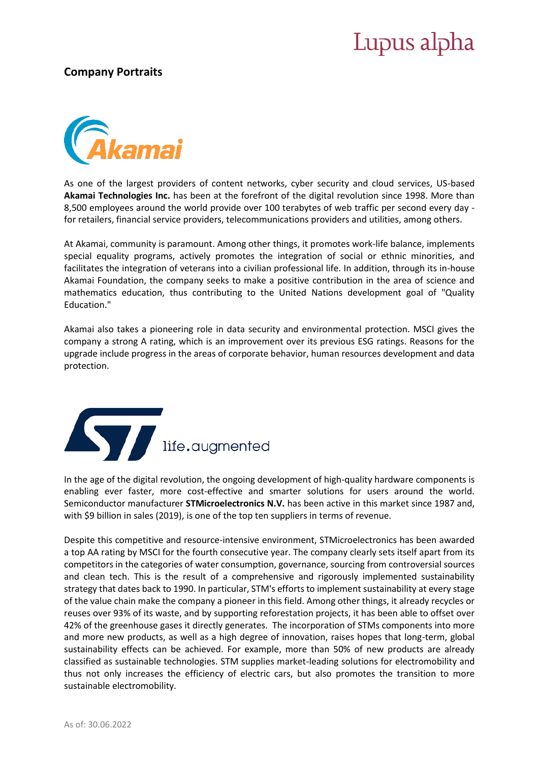## Lupus alpha

#### **Company Portraits**



As one of the largest providers of content networks, cyber security and cloud services, US-based **Akamai Technologies Inc.** has been at the forefront of the digital revolution since 1998. More than 8,500 employees around the world provide over 100 terabytes of web traffic per second every day for retailers, financial service providers, telecommunications providers and utilities, among others.

At Akamai, community is paramount. Among other things, it promotes work-life balance, implements special equality programs, actively promotes the integration of social or ethnic minorities, and facilitates the integration of veterans into a civilian professional life. In addition, through its in-house Akamai Foundation, the company seeks to make a positive contribution in the area of science and mathematics education, thus contributing to the United Nations development goal of "Quality Education."

Akamai also takes a pioneering role in data security and environmental protection. MSCI gives the company a strong A rating, which is an improvement over its previous ESG ratings. Reasons for the upgrade include progress in the areas of corporate behavior, human resources development and data protection.



In the age of the digital revolution, the ongoing development of high-quality hardware components is enabling ever faster, more cost-effective and smarter solutions for users around the world. Semiconductor manufacturer **STMicroelectronics N.V.** has been active in this market since 1987 and, with \$9 billion in sales (2019), is one of the top ten suppliers in terms of revenue.

Despite this competitive and resource-intensive environment, STMicroelectronics has been awarded a top AA rating by MSCI for the fourth consecutive year. The company clearly sets itself apart from its competitors in the categories of water consumption, governance, sourcing from controversial sources and clean tech. This is the result of a comprehensive and rigorously implemented sustainability strategy that dates back to 1990. In particular, STM's efforts to implement sustainability at every stage of the value chain make the company a pioneer in this field. Among other things, it already recycles or reuses over 93% of its waste, and by supporting reforestation projects, it has been able to offset over 42% of the greenhouse gases it directly generates. The incorporation of STMs components into more and more new products, as well as a high degree of innovation, raises hopes that long-term, global sustainability effects can be achieved. For example, more than 50% of new products are already classified as sustainable technologies. STM supplies market-leading solutions for electromobility and thus not only increases the efficiency of electric cars, but also promotes the transition to more sustainable electromobility.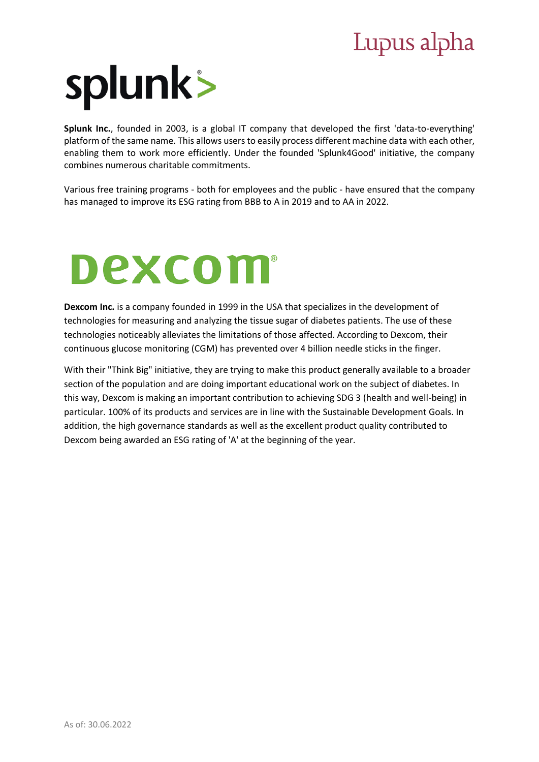# Lupus alpha



**Splunk Inc.**, founded in 2003, is a global IT company that developed the first 'data-to-everything' platform of the same name. This allows users to easily process different machine data with each other, enabling them to work more efficiently. Under the founded 'Splunk4Good' initiative, the company combines numerous charitable commitments.

Various free training programs - both for employees and the public - have ensured that the company has managed to improve its ESG rating from BBB to A in 2019 and to AA in 2022.

# **Dexcom®**

**Dexcom Inc.** is a company founded in 1999 in the USA that specializes in the development of technologies for measuring and analyzing the tissue sugar of diabetes patients. The use of these technologies noticeably alleviates the limitations of those affected. According to Dexcom, their continuous glucose monitoring (CGM) has prevented over 4 billion needle sticks in the finger.

With their "Think Big" initiative, they are trying to make this product generally available to a broader section of the population and are doing important educational work on the subject of diabetes. In this way, Dexcom is making an important contribution to achieving SDG 3 (health and well-being) in particular. 100% of its products and services are in line with the Sustainable Development Goals. In addition, the high governance standards as well as the excellent product quality contributed to Dexcom being awarded an ESG rating of 'A' at the beginning of the year.